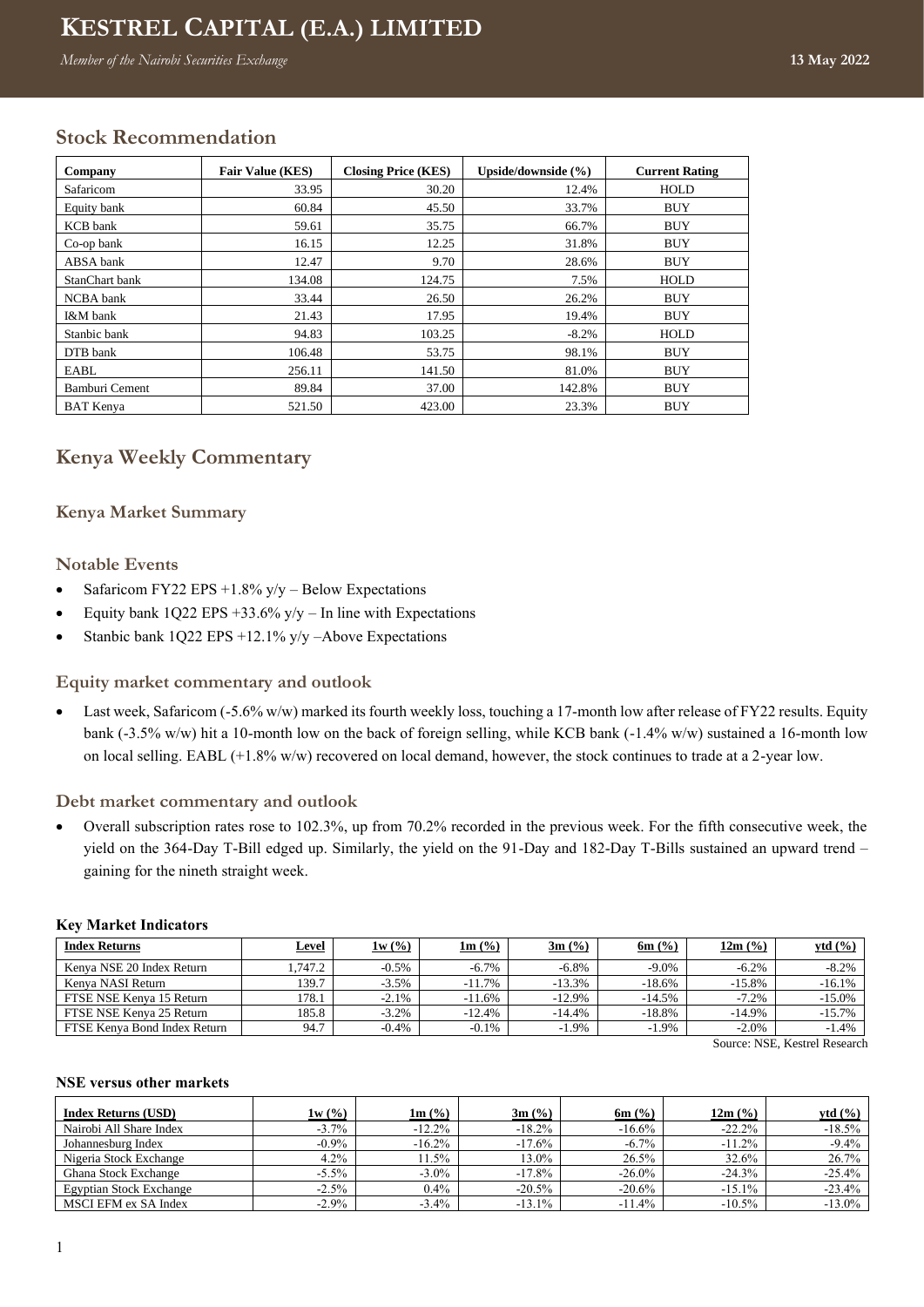# **Kenya Weekly Commentary KESTREL CAPITAL (E.A.) LIMITED**

**Week ending 13-May-2022** *Member of the Nairobi Securities Exchange* **13 May 2022**

## **Stock Recommendation**

| Company          | <b>Fair Value (KES)</b> | <b>Closing Price (KES)</b> | Upside/downside (%) | <b>Current Rating</b> |
|------------------|-------------------------|----------------------------|---------------------|-----------------------|
| Safaricom        | 33.95                   | 30.20                      | 12.4%               | <b>HOLD</b>           |
| Equity bank      | 60.84                   | 45.50                      | 33.7%               | <b>BUY</b>            |
| KCB bank         | 59.61                   | 35.75                      | 66.7%               | <b>BUY</b>            |
| Co-op bank       | 16.15                   | 12.25                      | 31.8%               | <b>BUY</b>            |
| ABSA bank        | 12.47                   | 9.70                       | 28.6%               | <b>BUY</b>            |
| StanChart bank   | 134.08                  | 124.75                     | 7.5%                | <b>HOLD</b>           |
| NCBA bank        | 33.44                   | 26.50                      | 26.2%               | <b>BUY</b>            |
| I&M bank         | 21.43                   | 17.95                      | 19.4%               | <b>BUY</b>            |
| Stanbic bank     | 94.83                   | 103.25                     | $-8.2\%$            | <b>HOLD</b>           |
| DTB bank         | 106.48                  | 53.75                      | 98.1%               | <b>BUY</b>            |
| EABL             | 256.11                  | 141.50                     | 81.0%               | <b>BUY</b>            |
| Bamburi Cement   | 89.84                   | 37.00                      | 142.8%              | <b>BUY</b>            |
| <b>BAT</b> Kenya | 521.50                  | 423.00                     | 23.3%               | <b>BUY</b>            |

## **Kenya Weekly Commentary**

## **Kenya Market Summary**

## **Notable Events**

- Safaricom FY22 EPS  $+1.8\%$  y/y Below Expectations
- Equity bank 1Q22 EPS  $+33.6\%$  y/y In line with Expectations
- Stanbic bank 1Q22 EPS +12.1% y/y –Above Expectations

## **Equity market commentary and outlook**

• Last week, Safaricom (-5.6% w/w) marked its fourth weekly loss, touching a 17-month low after release of FY22 results. Equity bank (-3.5% w/w) hit a 10-month low on the back of foreign selling, while KCB bank (-1.4% w/w) sustained a 16-month low on local selling. EABL (+1.8% w/w) recovered on local demand, however, the stock continues to trade at a 2-year low.

#### **Debt market commentary and outlook**

• Overall subscription rates rose to 102.3%, up from 70.2% recorded in the previous week. For the fifth consecutive week, the yield on the 364-Day T-Bill edged up. Similarly, the yield on the 91-Day and 182-Day T-Bills sustained an upward trend – gaining for the nineth straight week.

| <b>Index Returns</b>         | <b>Level</b> | 1w(%)    | $1m$ (%) | $3m$ (%)  | $6m$ (%) | $12m$ (%) | ytd $(\% )$ |
|------------------------------|--------------|----------|----------|-----------|----------|-----------|-------------|
| Kenya NSE 20 Index Return    | .747.2       | $-0.5%$  | $-6.7\%$ | $-6.8\%$  | $-9.0\%$ | $-6.2%$   | $-8.2%$     |
| Kenva NASI Return            | 139.7        | $-3.5\%$ | $-11.7%$ | $-13.3%$  | $-18.6%$ | $-15.8%$  | $-16.1\%$   |
| FTSE NSE Kenva 15 Return     | 178.1        | $-2.1\%$ | $-11.6%$ | $-12.9\%$ | $-14.5%$ | $-7.2%$   | $-15.0\%$   |
| FTSE NSE Kenva 25 Return     | 185.8        | $-3.2\%$ | $-12.4%$ | -14.4%    | $-18.8%$ | $-14.9\%$ | $-15.7\%$   |
| FTSE Kenva Bond Index Return | 94.7         | $-0.4%$  | $-0.1%$  | $-1.9\%$  | $-1.9\%$ | $-2.0%$   | $-1.4%$     |
|                              |              |          |          |           |          | --------  | - -         |

#### **Key Market Indicators**

Source: NSE, Kestrel Research

#### **NSE versus other markets**

| <b>Index Returns (USD)</b>     | 1w(%)    | $1m$ (%)  | 3m (%)    | 6m $(%$   | 12m (%)   | ytd $(\% )$ |
|--------------------------------|----------|-----------|-----------|-----------|-----------|-------------|
| Nairobi All Share Index        | $-3.7\%$ | $-12.2\%$ | $-18.2\%$ | $-16.6%$  | $-22.2\%$ | $-18.5%$    |
| Johannesburg Index             | $-0.9\%$ | $-16.2\%$ | $-17.6%$  | $-6.7\%$  | $-11.2\%$ | $-9.4%$     |
| Nigeria Stock Exchange         | $4.2\%$  | 11.5%     | 13.0%     | 26.5%     | 32.6%     | 26.7%       |
| Ghana Stock Exchange           | $-5.5\%$ | $-3.0\%$  | $-17.8\%$ | $-26.0\%$ | $-24.3%$  | $-25.4%$    |
| <b>Egyptian Stock Exchange</b> | $-2.5\%$ | $0.4\%$   | $-20.5%$  | $-20.6%$  | $-15.1\%$ | $-23.4%$    |
| MSCI EFM ex SA Index           | $-2.9\%$ | $-3.4\%$  | $-13.1\%$ | $-11.4%$  | $-10.5\%$ | $-13.0\%$   |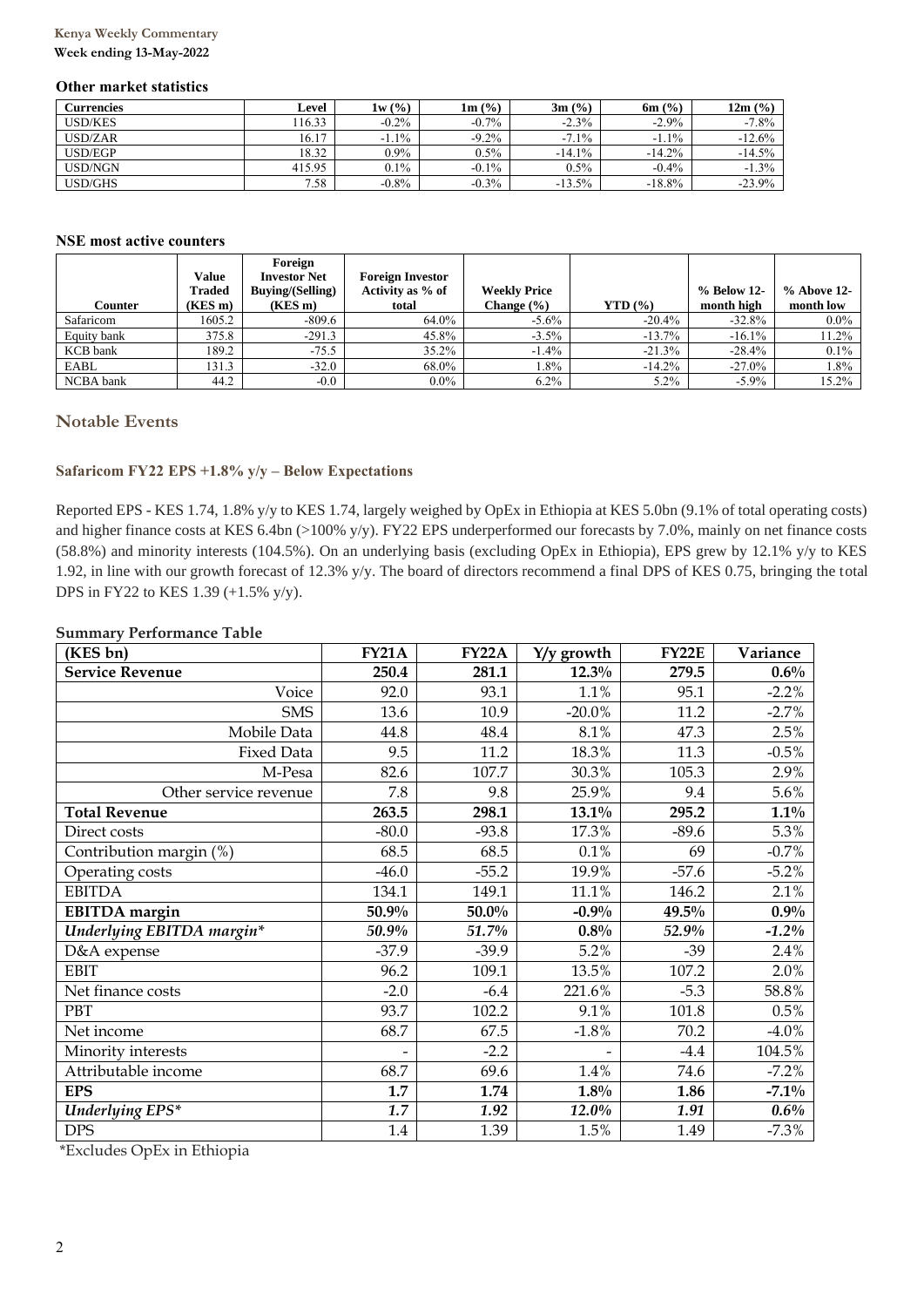## **Kenya Weekly Commentary**

**Week ending 13-May-2022**

#### **Other market statistics**

| Currencies     | Level  | 1w(%)    | $1m$ $\frac{6}{6}$ | $3m$ (%) | $6m$ (%) | 12m (%)  |
|----------------|--------|----------|--------------------|----------|----------|----------|
| <b>USD/KES</b> | 16.33  | $-0.2\%$ | $-0.7\%$           | $-2.3\%$ | $-2.9\%$ | $-7.8\%$ |
| USD/ZAR        | 16.17  | $-1.1\%$ | $-9.2\%$           | $-7.1\%$ | $-1.1\%$ | $-12.6%$ |
| USD/EGP        | 18.32  | $0.9\%$  | $0.5\%$            | $-14.1%$ | $-14.2%$ | $-14.5%$ |
| USD/NGN        | 415.95 | $0.1\%$  | $-0.1\%$           | $0.5\%$  | $-0.4%$  | $-1.3\%$ |
| <b>USD/GHS</b> | 7.58   | $-0.8%$  | $-0.3%$            | $-13.5%$ | $-18.8%$ | $-23.9%$ |

#### **NSE most active counters**

|                 |              | Foreign                 |                         |                     |           |             |               |
|-----------------|--------------|-------------------------|-------------------------|---------------------|-----------|-------------|---------------|
|                 | <b>Value</b> | <b>Investor Net</b>     | <b>Foreign Investor</b> |                     |           |             |               |
|                 | Traded       | <b>Buying/(Selling)</b> | Activity as % of        | <b>Weekly Price</b> |           | % Below 12- | $%$ Above 12- |
| Counter         | (KES m)      | $(KES \, m)$            | total                   | Change $(\% )$      | $YTD($ %) | month high  | month low     |
| Safaricom       | 1605.2       | $-809.6$                | 64.0%                   | $-5.6\%$            | $-20.4%$  | $-32.8%$    | $0.0\%$       |
| Equity bank     | 375.8        | $-291.3$                | 45.8%                   | $-3.5\%$            | $-13.7%$  | $-16.1\%$   | 11.2%         |
| <b>KCB</b> bank | 189.2        | $-75.5$                 | 35.2%                   | $-1.4%$             | $-21.3%$  | $-28.4%$    | $0.1\%$       |
| EABL            | 131.3        | $-32.0$                 | 68.0%                   | 1.8%                | $-14.2%$  | $-27.0\%$   | 1.8%          |
| NCBA bank       | 44.2         | $-0.0$                  | $0.0\%$                 | $6.2\%$             | 5.2%      | $-5.9\%$    | 15.2%         |

## **Notable Events**

### **Safaricom FY22 EPS +1.8% y/y – Below Expectations**

Reported EPS - KES 1.74, 1.8% y/y to KES 1.74, largely weighed by OpEx in Ethiopia at KES 5.0bn (9.1% of total operating costs) and higher finance costs at KES 6.4bn (>100% y/y). FY22 EPS underperformed our forecasts by 7.0%, mainly on net finance costs (58.8%) and minority interests (104.5%). On an underlying basis (excluding OpEx in Ethiopia), EPS grew by 12.1% y/y to KES 1.92, in line with our growth forecast of 12.3% y/y. The board of directors recommend a final DPS of KES 0.75, bringing the total DPS in FY22 to KES 1.39 (+1.5% y/y).

#### **Summary Performance Table**

| (KES bn)                  | <b>FY21A</b> | <b>FY22A</b> | $Y/y$ growth | <b>FY22E</b> | Variance |
|---------------------------|--------------|--------------|--------------|--------------|----------|
| <b>Service Revenue</b>    | 250.4        | 281.1        | $12.3\%$     | 279.5        | $0.6\%$  |
| Voice                     | 92.0         | 93.1         | 1.1%         | 95.1         | $-2.2%$  |
| <b>SMS</b>                | 13.6         | 10.9         | $-20.0\%$    | 11.2         | $-2.7%$  |
| Mobile Data               | 44.8         | 48.4         | 8.1%         | 47.3         | 2.5%     |
| <b>Fixed Data</b>         | 9.5          | 11.2         | 18.3%        | 11.3         | $-0.5%$  |
| M-Pesa                    | 82.6         | 107.7        | 30.3%        | 105.3        | 2.9%     |
| Other service revenue     | 7.8          | 9.8          | 25.9%        | 9.4          | 5.6%     |
| <b>Total Revenue</b>      | 263.5        | 298.1        | 13.1%        | 295.2        | $1.1\%$  |
| Direct costs              | $-80.0$      | $-93.8$      | 17.3%        | $-89.6$      | 5.3%     |
| Contribution margin (%)   | 68.5         | 68.5         | 0.1%         | 69           | $-0.7%$  |
| Operating costs           | $-46.0$      | $-55.2$      | 19.9%        | $-57.6$      | $-5.2%$  |
| <b>EBITDA</b>             | 134.1        | 149.1        | 11.1%        | 146.2        | 2.1%     |
| <b>EBITDA</b> margin      | 50.9%        | 50.0%        | $-0.9%$      | 49.5%        | $0.9\%$  |
| Underlying EBITDA margin* | 50.9%        | 51.7%        | $0.8\%$      | 52.9%        | $-1.2\%$ |
| D&A expense               | $-37.9$      | $-39.9$      | 5.2%         | $-39$        | 2.4%     |
| <b>EBIT</b>               | 96.2         | 109.1        | 13.5%        | 107.2        | 2.0%     |
| Net finance costs         | $-2.0$       | $-6.4$       | 221.6%       | $-5.3$       | 58.8%    |
| PBT                       | 93.7         | 102.2        | 9.1%         | 101.8        | 0.5%     |
| Net income                | 68.7         | 67.5         | $-1.8%$      | 70.2         | $-4.0\%$ |
| Minority interests        |              | $-2.2$       |              | $-4.4$       | 104.5%   |
| Attributable income       | 68.7         | 69.6         | 1.4%         | 74.6         | $-7.2%$  |
| <b>EPS</b>                | 1.7          | 1.74         | $1.8\%$      | 1.86         | $-7.1\%$ |
| <b>Underlying EPS*</b>    | 1.7          | 1.92         | 12.0%        | 1.91         | $0.6\%$  |
| <b>DPS</b>                | 1.4          | 1.39         | 1.5%         | 1.49         | $-7.3\%$ |

\*Excludes OpEx in Ethiopia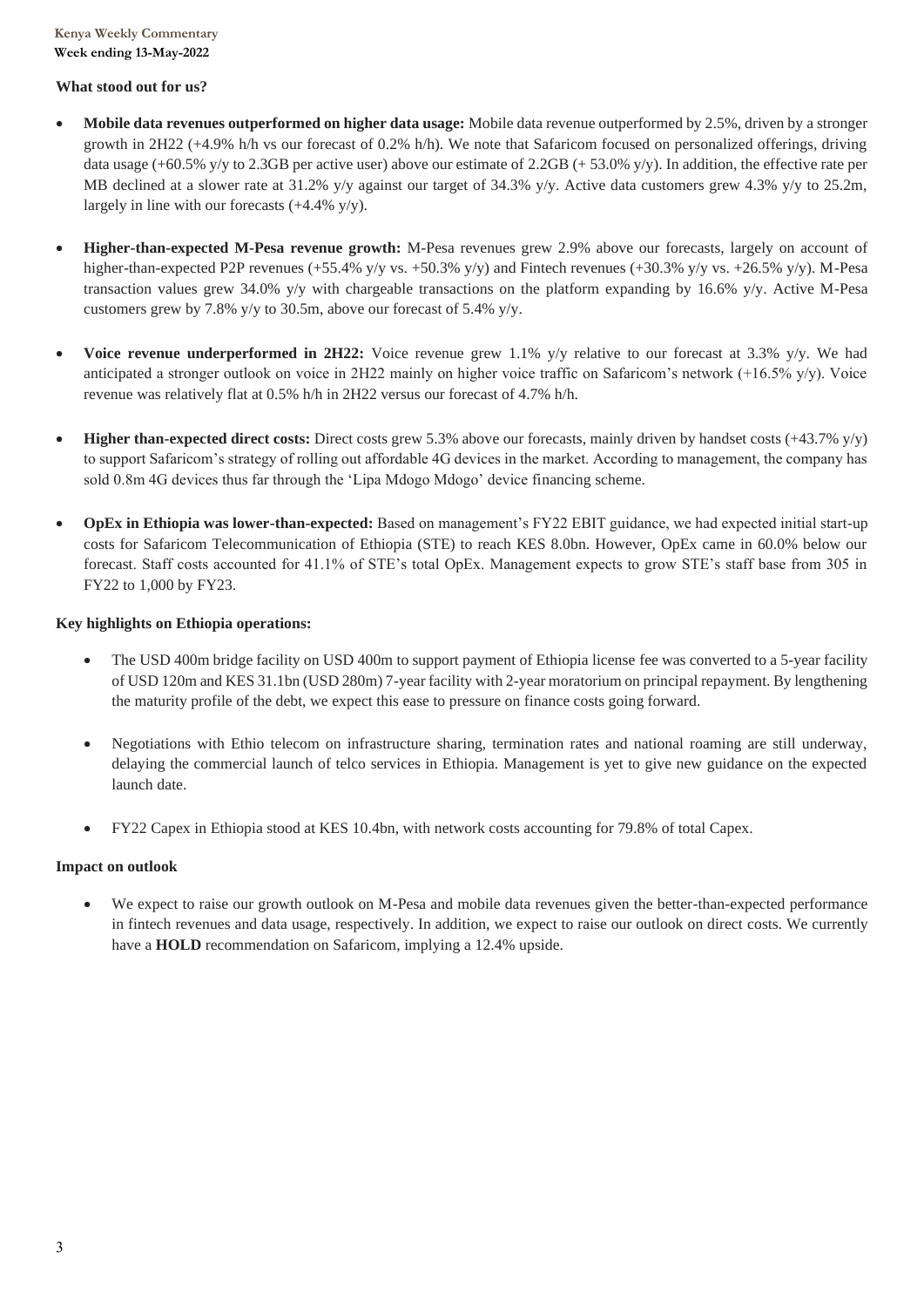#### **What stood out for us?**

- **Mobile data revenues outperformed on higher data usage:** Mobile data revenue outperformed by 2.5%, driven by a stronger growth in 2H22 (+4.9% h/h vs our forecast of 0.2% h/h). We note that Safaricom focused on personalized offerings, driving data usage (+60.5% y/y to 2.3GB per active user) above our estimate of 2.2GB (+53.0% y/y). In addition, the effective rate per MB declined at a slower rate at 31.2% y/y against our target of 34.3% y/y. Active data customers grew 4.3% y/y to 25.2m, largely in line with our forecasts (+4.4% y/y).
- **Higher-than-expected M-Pesa revenue growth:** M-Pesa revenues grew 2.9% above our forecasts, largely on account of higher-than-expected P2P revenues (+55.4% y/y vs. +50.3% y/y) and Fintech revenues (+30.3% y/y vs. +26.5% y/y). M-Pesa transaction values grew 34.0% y/y with chargeable transactions on the platform expanding by 16.6% y/y. Active M-Pesa customers grew by 7.8% y/y to 30.5m, above our forecast of 5.4% y/y.
- **Voice revenue underperformed in 2H22:** Voice revenue grew 1.1% y/y relative to our forecast at 3.3% y/y. We had anticipated a stronger outlook on voice in 2H22 mainly on higher voice traffic on Safaricom's network  $(+16.5\% \text{ y/y})$ . Voice revenue was relatively flat at 0.5% h/h in 2H22 versus our forecast of 4.7% h/h.
- **Higher than-expected direct costs:** Direct costs grew 5.3% above our forecasts, mainly driven by handset costs (+43.7% y/y) to support Safaricom's strategy of rolling out affordable 4G devices in the market. According to management, the company has sold 0.8m 4G devices thus far through the 'Lipa Mdogo Mdogo' device financing scheme.
- **OpEx in Ethiopia was lower-than-expected:** Based on management's FY22 EBIT guidance, we had expected initial start-up costs for Safaricom Telecommunication of Ethiopia (STE) to reach KES 8.0bn. However, OpEx came in 60.0% below our forecast. Staff costs accounted for 41.1% of STE's total OpEx. Management expects to grow STE's staff base from 305 in FY22 to 1,000 by FY23.

## **Key highlights on Ethiopia operations:**

- The USD 400m bridge facility on USD 400m to support payment of Ethiopia license fee was converted to a 5-year facility of USD 120m and KES 31.1bn (USD 280m) 7-year facility with 2-year moratorium on principal repayment. By lengthening the maturity profile of the debt, we expect this ease to pressure on finance costs going forward.
- Negotiations with Ethio telecom on infrastructure sharing, termination rates and national roaming are still underway, delaying the commercial launch of telco services in Ethiopia. Management is yet to give new guidance on the expected launch date.
- FY22 Capex in Ethiopia stood at KES 10.4bn, with network costs accounting for 79.8% of total Capex.

## **Impact on outlook**

• We expect to raise our growth outlook on M-Pesa and mobile data revenues given the better-than-expected performance in fintech revenues and data usage, respectively. In addition, we expect to raise our outlook on direct costs. We currently have a **HOLD** recommendation on Safaricom, implying a 12.4% upside.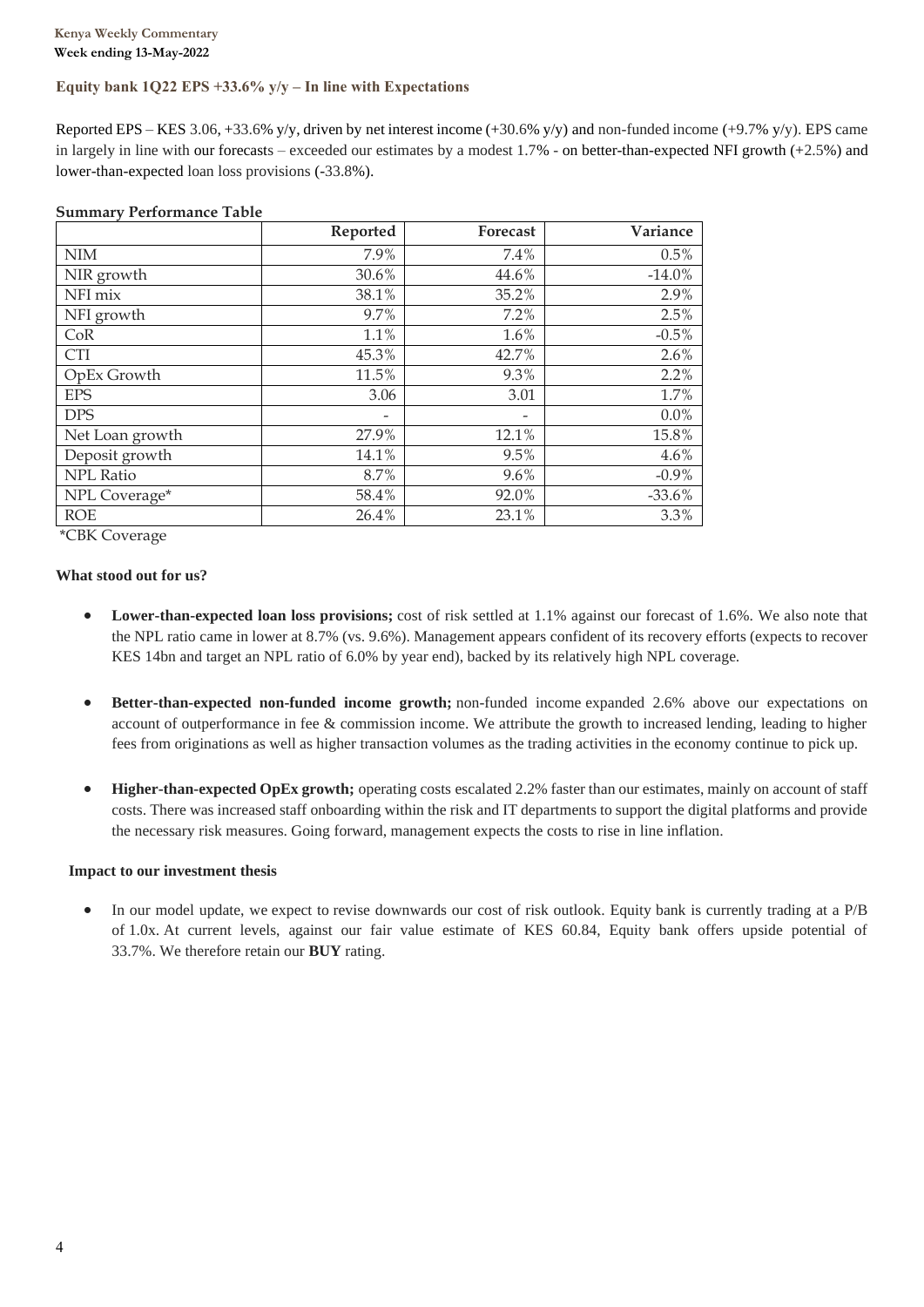### **Equity bank 1Q22 EPS +33.6% y/y – In line with Expectations**

Reported EPS – KES 3.06, +33.6% y/y, driven by net interest income  $(+30.6\%$  y/y) and non-funded income  $(+9.7\%$  y/y). EPS came in largely in line with our forecasts – exceeded our estimates by a modest 1.7% - on better-than-expected NFI growth (+2.5%) and lower-than-expected loan loss provisions (-33.8%).

|                  | Reported                 | Forecast                 | Variance |
|------------------|--------------------------|--------------------------|----------|
| $\text{NIM}{}$   | 7.9%                     | 7.4%                     | 0.5%     |
| NIR growth       | 30.6%                    | 44.6%                    | $-14.0%$ |
| NFI mix          | 38.1%                    | 35.2%                    | 2.9%     |
| NFI growth       | 9.7%                     | 7.2%                     | 2.5%     |
| CoR              | 1.1%                     | 1.6%                     | $-0.5%$  |
| <b>CTI</b>       | 45.3%                    | 42.7%                    | 2.6%     |
| OpEx Growth      | 11.5%                    | 9.3%                     | 2.2%     |
| <b>EPS</b>       | 3.06                     | 3.01                     | 1.7%     |
| <b>DPS</b>       | $\overline{\phantom{a}}$ | $\overline{\phantom{0}}$ | 0.0%     |
| Net Loan growth  | 27.9%                    | 12.1%                    | 15.8%    |
| Deposit growth   | 14.1%                    | 9.5%                     | 4.6%     |
| <b>NPL Ratio</b> | 8.7%                     | 9.6%                     | $-0.9\%$ |
| NPL Coverage*    | 58.4%                    | 92.0%                    | $-33.6%$ |
| <b>ROE</b>       | 26.4%                    | 23.1%                    | 3.3%     |

#### **Summary Performance Table**

\*CBK Coverage

#### **What stood out for us?**

- **Lower-than-expected loan loss provisions;** cost of risk settled at 1.1% against our forecast of 1.6%. We also note that the NPL ratio came in lower at 8.7% (vs. 9.6%). Management appears confident of its recovery efforts (expects to recover KES 14bn and target an NPL ratio of 6.0% by year end), backed by its relatively high NPL coverage.
- **Better-than-expected non-funded income growth;** non-funded income expanded 2.6% above our expectations on account of outperformance in fee & commission income. We attribute the growth to increased lending, leading to higher fees from originations as well as higher transaction volumes as the trading activities in the economy continue to pick up.
- **Higher-than-expected OpEx growth;** operating costs escalated 2.2% faster than our estimates, mainly on account of staff costs. There was increased staff onboarding within the risk and IT departments to support the digital platforms and provide the necessary risk measures. Going forward, management expects the costs to rise in line inflation.

#### **Impact to our investment thesis**

In our model update, we expect to revise downwards our cost of risk outlook. Equity bank is currently trading at a P/B of 1.0x. At current levels, against our fair value estimate of KES 60.84, Equity bank offers upside potential of 33.7%. We therefore retain our **BUY** rating.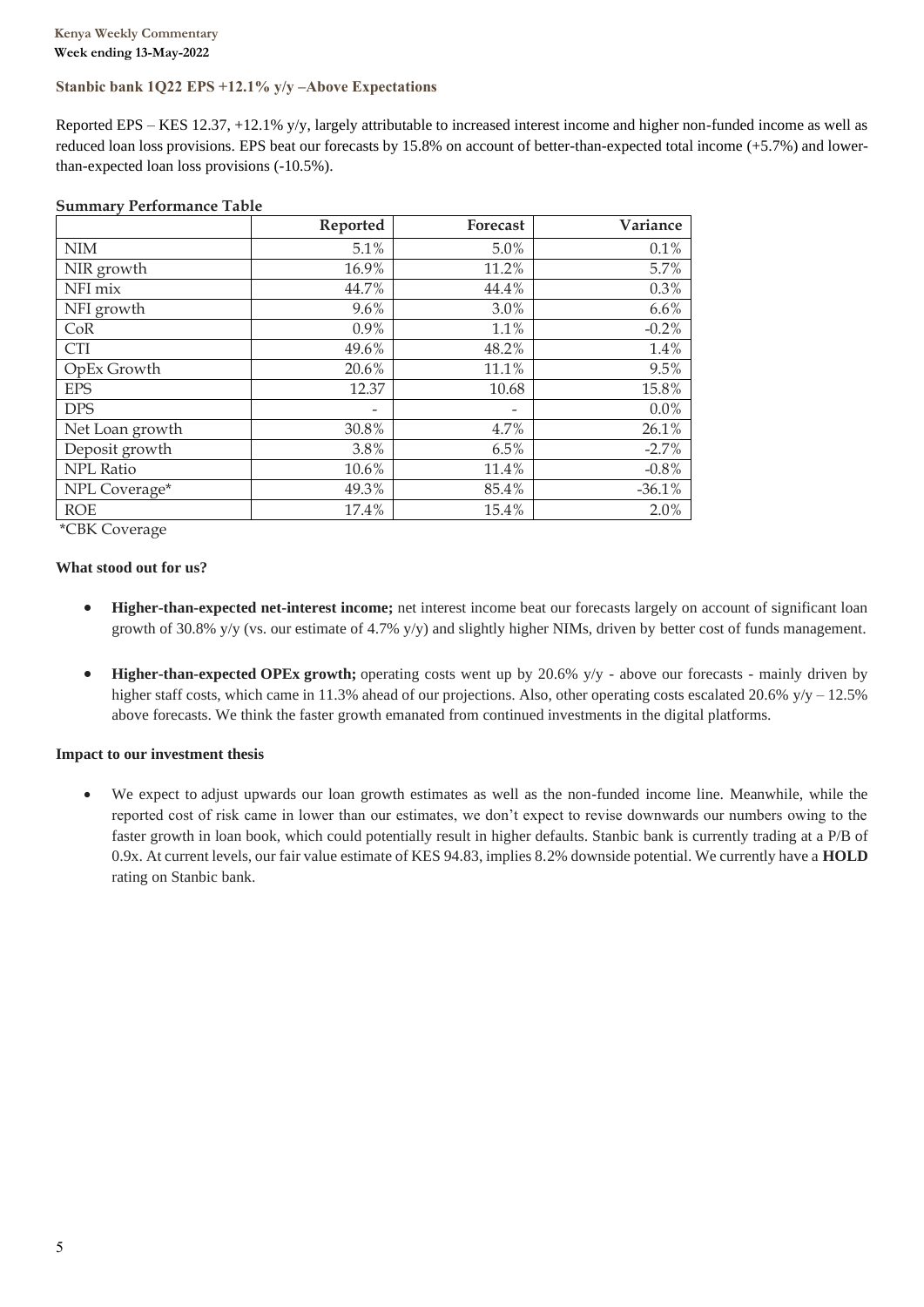### **Stanbic bank 1Q22 EPS +12.1% y/y –Above Expectations**

Reported EPS – KES 12.37, +12.1% y/y, largely attributable to increased interest income and higher non-funded income as well as reduced loan loss provisions. EPS beat our forecasts by 15.8% on account of better-than-expected total income (+5.7%) and lowerthan-expected loan loss provisions (-10.5%).

|                 | Reported | Forecast | Variance |
|-----------------|----------|----------|----------|
| NIM             | 5.1%     | $5.0\%$  | 0.1%     |
| NIR growth      | 16.9%    | 11.2%    | 5.7%     |
| NFI mix         | 44.7%    | 44.4%    | 0.3%     |
| NFI growth      | $9.6\%$  | 3.0%     | 6.6%     |
| CoR             | $0.9\%$  | 1.1%     | $-0.2%$  |
| <b>CTI</b>      | 49.6%    | 48.2%    | 1.4%     |
| OpEx Growth     | 20.6%    | 11.1%    | 9.5%     |
| <b>EPS</b>      | 12.37    | 10.68    | 15.8%    |
| <b>DPS</b>      | -        | -        | 0.0%     |
| Net Loan growth | 30.8%    | 4.7%     | 26.1%    |
| Deposit growth  | 3.8%     | 6.5%     | $-2.7%$  |
| NPL Ratio       | 10.6%    | 11.4%    | $-0.8%$  |
| NPL Coverage*   | 49.3%    | 85.4%    | $-36.1%$ |
| <b>ROE</b>      | 17.4%    | 15.4%    | 2.0%     |

#### **Summary Performance Table**

\*CBK Coverage

#### **What stood out for us?**

- **Higher-than-expected net-interest income;** net interest income beat our forecasts largely on account of significant loan growth of 30.8% y/y (vs. our estimate of 4.7% y/y) and slightly higher NIMs, driven by better cost of funds management.
- **Higher-than-expected OPEx growth;** operating costs went up by 20.6% y/y above our forecasts mainly driven by higher staff costs, which came in 11.3% ahead of our projections. Also, other operating costs escalated 20.6%  $y/y - 12.5%$ above forecasts. We think the faster growth emanated from continued investments in the digital platforms.

#### **Impact to our investment thesis**

• We expect to adjust upwards our loan growth estimates as well as the non-funded income line. Meanwhile, while the reported cost of risk came in lower than our estimates, we don't expect to revise downwards our numbers owing to the faster growth in loan book, which could potentially result in higher defaults. Stanbic bank is currently trading at a P/B of 0.9x. At current levels, our fair value estimate of KES 94.83, implies 8.2% downside potential. We currently have a **HOLD**  rating on Stanbic bank.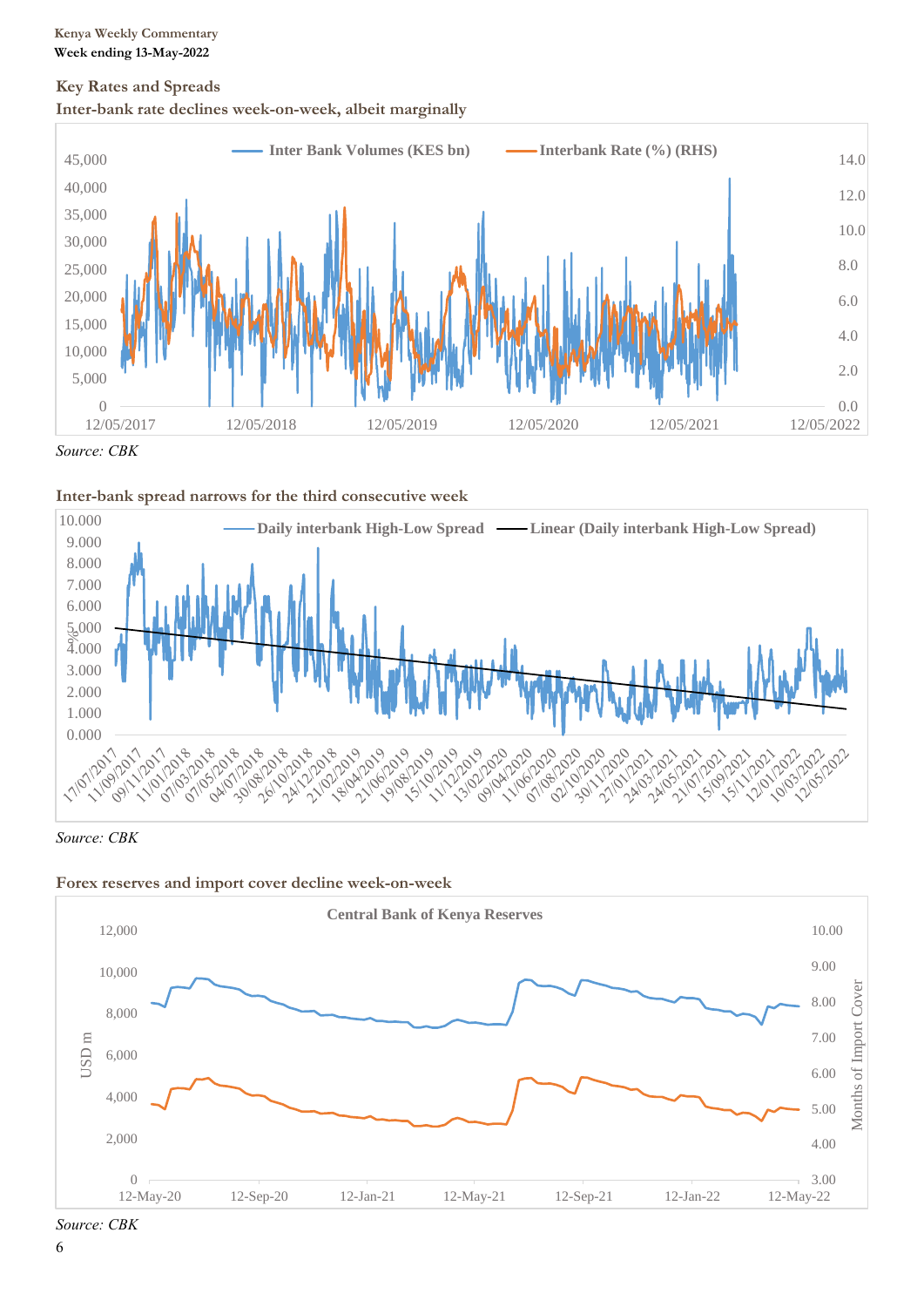## **Key Rates and Spreads Inter-bank rate declines week-on-week, albeit marginally**



*Source: CBK*





*Source: CBK*





*Source: CBK*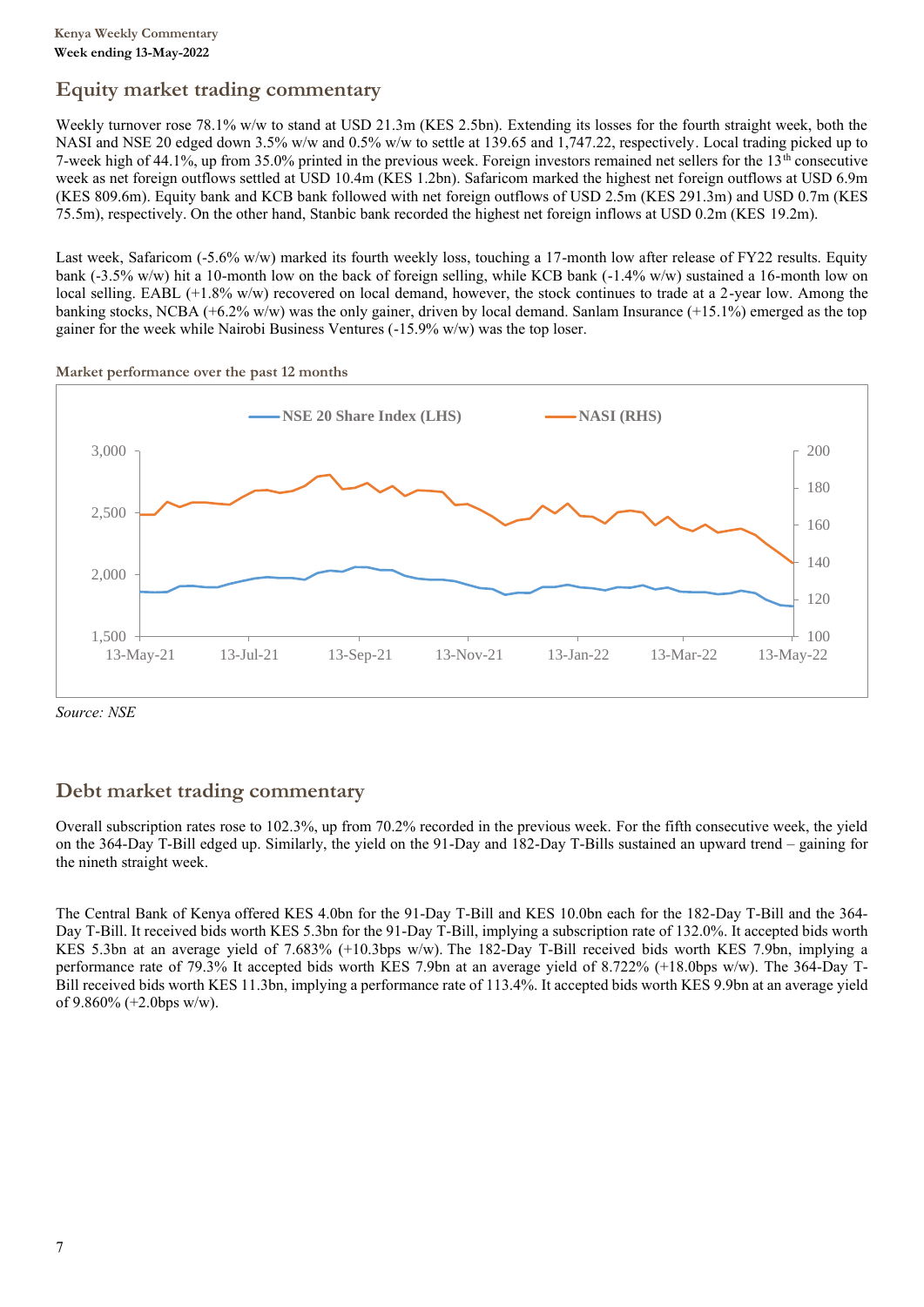## **Equity market trading commentary**

Weekly turnover rose 78.1% w/w to stand at USD 21.3m (KES 2.5bn). Extending its losses for the fourth straight week, both the NASI and NSE 20 edged down 3.5% w/w and 0.5% w/w to settle at 139.65 and 1,747.22, respectively. Local trading picked up to 7-week high of 44.1%, up from 35.0% printed in the previous week. Foreign investors remained net sellers for the  $13<sup>th</sup>$  consecutive week as net foreign outflows settled at USD 10.4m (KES 1.2bn). Safaricom marked the highest net foreign outflows at USD 6.9m (KES 809.6m). Equity bank and KCB bank followed with net foreign outflows of USD 2.5m (KES 291.3m) and USD 0.7m (KES 75.5m), respectively. On the other hand, Stanbic bank recorded the highest net foreign inflows at USD 0.2m (KES 19.2m).

Last week, Safaricom (-5.6% w/w) marked its fourth weekly loss, touching a 17-month low after release of FY22 results. Equity bank (-3.5% w/w) hit a 10-month low on the back of foreign selling, while KCB bank (-1.4% w/w) sustained a 16-month low on local selling. EABL (+1.8% w/w) recovered on local demand, however, the stock continues to trade at a 2-year low. Among the banking stocks, NCBA (+6.2% w/w) was the only gainer, driven by local demand. Sanlam Insurance (+15.1%) emerged as the top gainer for the week while Nairobi Business Ventures (-15.9% w/w) was the top loser.



**Market performance over the past 12 months**

*Source: NSE*

## **Debt market trading commentary**

Overall subscription rates rose to 102.3%, up from 70.2% recorded in the previous week. For the fifth consecutive week, the yield on the 364-Day T-Bill edged up. Similarly, the yield on the 91-Day and 182-Day T-Bills sustained an upward trend – gaining for the nineth straight week.

The Central Bank of Kenya offered KES 4.0bn for the 91-Day T-Bill and KES 10.0bn each for the 182-Day T-Bill and the 364- Day T-Bill. It received bids worth KES 5.3bn for the 91-Day T-Bill, implying a subscription rate of 132.0%. It accepted bids worth KES 5.3bn at an average yield of 7.683% (+10.3bps w/w). The 182-Day T-Bill received bids worth KES 7.9bn, implying a performance rate of 79.3% It accepted bids worth KES 7.9bn at an average yield of 8.722% (+18.0bps w/w). The 364-Day T-Bill received bids worth KES 11.3bn, implying a performance rate of 113.4%. It accepted bids worth KES 9.9bn at an average yield of 9.860% (+2.0bps w/w).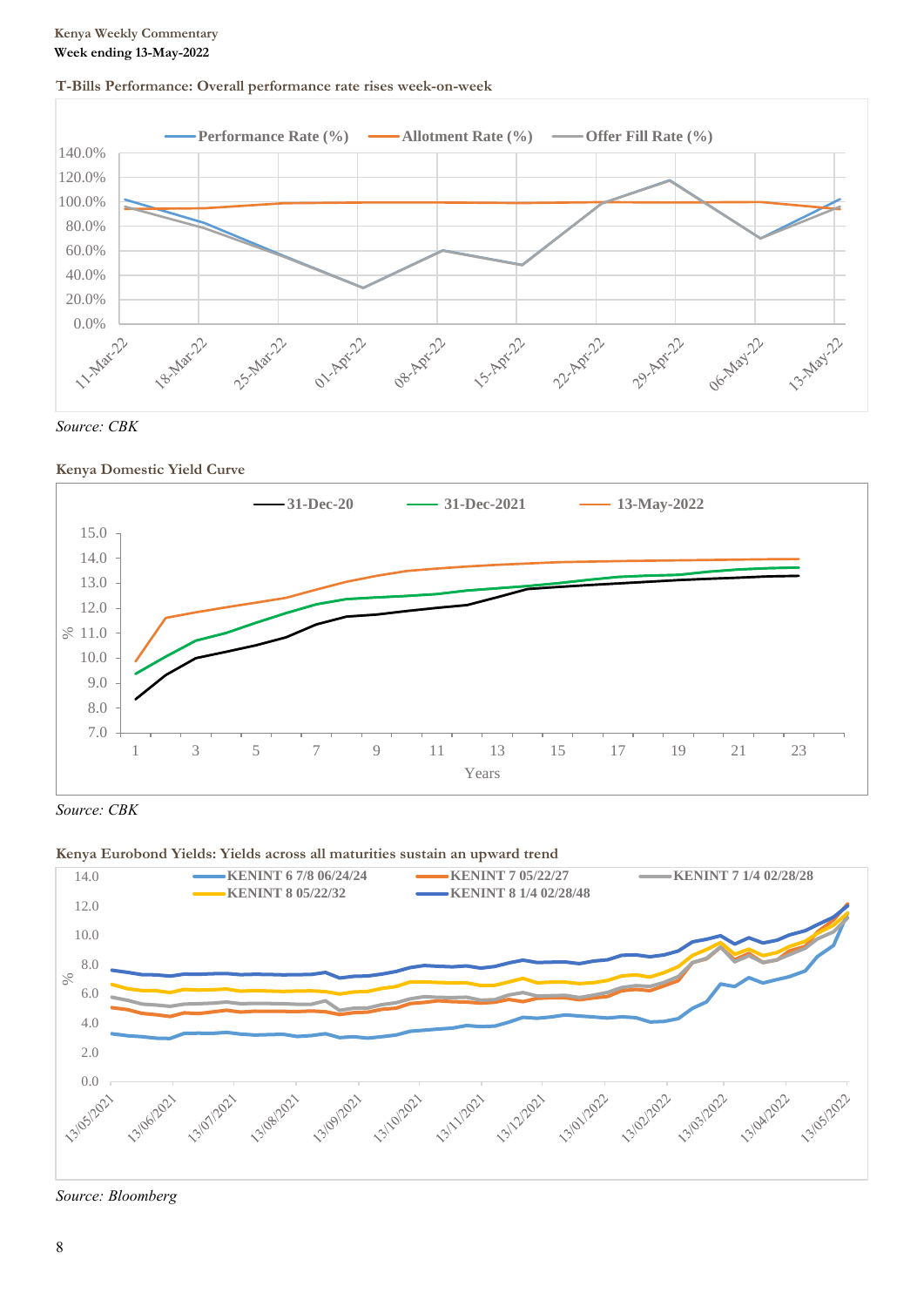## **T-Bills Performance: Overall performance rate rises week-on-week**





## **Kenya Domestic Yield Curve**



*Source: CBK*

## **Kenya Eurobond Yields: Yields across all maturities sustain an upward trend**



*Source: Bloomberg*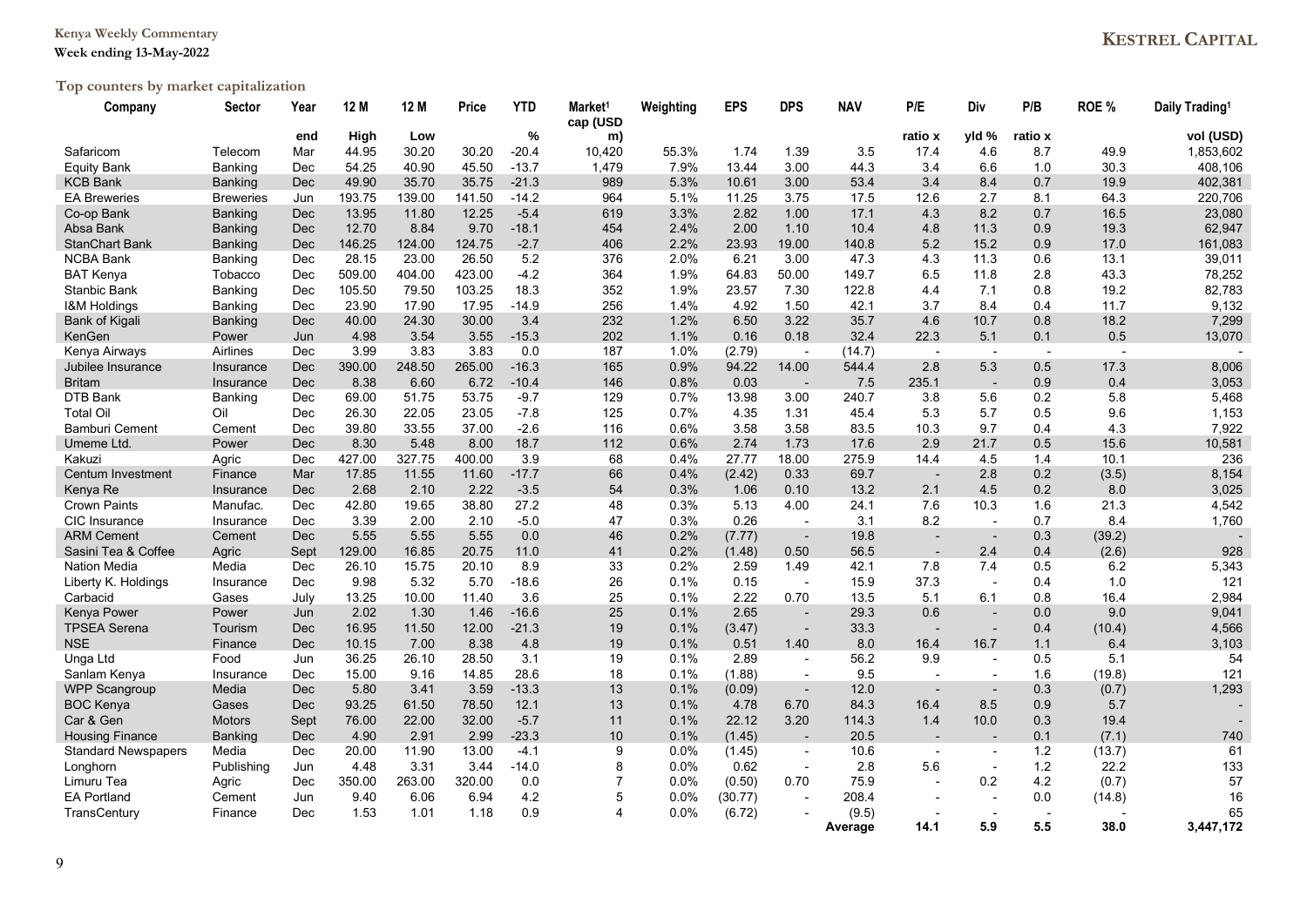### **Kenya Weekly Commentary**

### **Week ending 13-May-2022**

# **Top counters by market capitalization**

| Company                    | Sector           | Year       | 12 M   | 12 M   | Price  | <b>YTD</b> | Market <sup>1</sup><br>cap (USD | Weighting | <b>EPS</b> | <b>DPS</b>               | <b>NAV</b>       | P/E                      | Div                      | P/B            | ROE %  | Daily Trading <sup>1</sup> |
|----------------------------|------------------|------------|--------|--------|--------|------------|---------------------------------|-----------|------------|--------------------------|------------------|--------------------------|--------------------------|----------------|--------|----------------------------|
|                            |                  | end        | High   | Low    |        | %          | m)                              |           |            |                          |                  | ratio x                  | yld %                    | ratio x        |        | vol (USD)                  |
| Safaricom                  | Telecom          | Mar        | 44.95  | 30.20  | 30.20  | $-20.4$    | 10,420                          | 55.3%     | 1.74       | 1.39                     | 3.5              | 17.4                     | 4.6                      | 8.7            | 49.9   | 1,853,602                  |
| Equity Bank                | <b>Banking</b>   | Dec        | 54.25  | 40.90  | 45.50  | $-13.7$    | 1,479                           | 7.9%      | 13.44      | 3.00                     | 44.3             | 3.4                      | 6.6                      | 1.0            | 30.3   | 408,106                    |
| <b>KCB Bank</b>            | Banking          | Dec        | 49.90  | 35.70  | 35.75  | $-21.3$    | 989                             | 5.3%      | 10.61      | 3.00                     | 53.4             | 3.4                      | 8.4                      | 0.7            | 19.9   | 402,381                    |
| <b>EA Breweries</b>        | <b>Breweries</b> | Jun        | 193.75 | 139.00 | 141.50 | $-14.2$    | 964                             | 5.1%      | 11.25      | 3.75                     | 17.5             | 12.6                     | 2.7                      | 8.1            | 64.3   | 220,706                    |
| Co-op Bank                 | <b>Banking</b>   | <b>Dec</b> | 13.95  | 11.80  | 12.25  | $-5.4$     | 619                             | 3.3%      | 2.82       | 1.00                     | 17.1             | 4.3                      | 8.2                      | 0.7            | 16.5   | 23,080                     |
| Absa Bank                  | Banking          | <b>Dec</b> | 12.70  | 8.84   | 9.70   | $-18.1$    | 454                             | 2.4%      | 2.00       | 1.10                     | 10.4             | 4.8                      | 11.3                     | 0.9            | 19.3   | 62,947                     |
| <b>StanChart Bank</b>      | <b>Banking</b>   | <b>Dec</b> | 146.25 | 124.00 | 124.75 | $-2.7$     | 406                             | 2.2%      | 23.93      | 19.00                    | 140.8            | 5.2                      | 15.2                     | 0.9            | 17.0   | 161,083                    |
| <b>NCBA Bank</b>           | Banking          | Dec        | 28.15  | 23.00  | 26.50  | 5.2        | 376                             | 2.0%      | 6.21       | 3.00                     | 47.3             | 4.3                      | 11.3                     | 0.6            | 13.1   | 39,011                     |
| <b>BAT Kenya</b>           | Tobacco          | Dec        | 509.00 | 404.00 | 423.00 | $-4.2$     | 364                             | 1.9%      | 64.83      | 50.00                    | 149.7            | 6.5                      | 11.8                     | 2.8            | 43.3   | 78,252                     |
| Stanbic Bank               | Banking          | Dec        | 105.50 | 79.50  | 103.25 | 18.3       | 352                             | 1.9%      | 23.57      | 7.30                     | 122.8            | 4.4                      | 7.1                      | 0.8            | 19.2   | 82,783                     |
| <b>I&amp;M Holdings</b>    | Banking          | Dec        | 23.90  | 17.90  | 17.95  | $-14.9$    | 256                             | 1.4%      | 4.92       | 1.50                     | 42.1             | 3.7                      | 8.4                      | 0.4            | 11.7   | 9,132                      |
| Bank of Kigali             | Banking          | <b>Dec</b> | 40.00  | 24.30  | 30.00  | 3.4        | 232                             | 1.2%      | 6.50       | 3.22                     | 35.7             | 4.6                      | 10.7                     | 0.8            | 18.2   | 7,299                      |
| KenGen                     | Power            | Jun        | 4.98   | 3.54   | 3.55   | $-15.3$    | 202                             | 1.1%      | 0.16       | 0.18                     | 32.4             | 22.3                     | 5.1                      | 0.1            | 0.5    | 13,070                     |
| Kenya Airways              | Airlines         | Dec        | 3.99   | 3.83   | 3.83   | 0.0        | 187                             | 1.0%      | (2.79)     | $\blacksquare$           | (14.7)           | $\overline{a}$           | $\sim$                   | $\blacksquare$ |        |                            |
| Jubilee Insurance          | Insurance        | <b>Dec</b> | 390.00 | 248.50 | 265.00 | $-16.3$    | 165                             | 0.9%      | 94.22      | 14.00                    | 544.4            | 2.8                      | 5.3                      | 0.5            | 17.3   | 8,006                      |
| <b>Britam</b>              | Insurance        | <b>Dec</b> | 8.38   | 6.60   | 6.72   | $-10.4$    | 146                             | 0.8%      | 0.03       | $\overline{\phantom{a}}$ | 7.5              | 235.1                    | $\overline{\phantom{a}}$ | 0.9            | 0.4    | 3,053                      |
| DTB Bank                   | Banking          | Dec        | 69.00  | 51.75  | 53.75  | $-9.7$     | 129                             | 0.7%      | 13.98      | 3.00                     | 240.7            | 3.8                      | 5.6                      | 0.2            | 5.8    | 5,468                      |
| <b>Total Oi</b>            | Oil              | Dec        | 26.30  | 22.05  | 23.05  | $-7.8$     | 125                             | 0.7%      | 4.35       | 1.31                     | 45.4             | 5.3                      | 5.7                      | 0.5            | 9.6    | 1,153                      |
| <b>Bamburi Cement</b>      | Cement           | Dec        | 39.80  | 33.55  | 37.00  | $-2.6$     | 116                             | 0.6%      | 3.58       | 3.58                     | 83.5             | 10.3                     | 9.7                      | 0.4            | 4.3    | 7,922                      |
| Umeme Ltd.                 | Power            | <b>Dec</b> | 8.30   | 5.48   | 8.00   | 18.7       | 112                             | 0.6%      | 2.74       | 1.73                     | 17.6             | 2.9                      | 21.7                     | 0.5            | 15.6   | 10,581                     |
| Kakuzi                     | Agric            | Dec        | 427.00 | 327.75 | 400.00 | 3.9        | 68                              | 0.4%      | 27.77      | 18.00                    | 275.9            | 14.4                     | 4.5                      | 1.4            | 10.1   | 236                        |
| Centum Investment          | Finance          | Mar        | 17.85  | 11.55  | 11.60  | $-17.7$    | 66                              | 0.4%      | (2.42)     | 0.33                     | 69.7             | $\overline{\phantom{a}}$ | 2.8                      | 0.2            | (3.5)  | 8,154                      |
| Kenya Re                   | Insurance        | <b>Dec</b> | 2.68   | 2.10   | 2.22   | $-3.5$     | 54                              | 0.3%      | 1.06       | 0.10                     | 13.2             | 2.1                      | 4.5                      | 0.2            | 8.0    | 3,025                      |
| <b>Crown Paints</b>        | Manufac.         | Dec        | 42.80  | 19.65  | 38.80  | 27.2       | 48                              | 0.3%      | 5.13       | 4.00                     | 24.1             | 7.6                      | 10.3                     | 1.6            | 21.3   | 4,542                      |
| CIC Insurance              | Insurance        | Dec        | 3.39   | 2.00   | 2.10   | $-5.0$     | 47                              | 0.3%      | 0.26       | $\blacksquare$           | 3.1              | 8.2                      | $\overline{\phantom{a}}$ | 0.7            | 8.4    | 1,760                      |
| <b>ARM Cement</b>          | Cement           | <b>Dec</b> | 5.55   | 5.55   | 5.55   | 0.0        | 46                              | 0.2%      | (7.77)     | $\overline{\phantom{a}}$ | 19.8             | $\overline{\phantom{a}}$ | $\overline{\phantom{a}}$ | 0.3            | (39.2) |                            |
| Sasini Tea & Coffee        | Agric            | Sept       | 129.00 | 16.85  | 20.75  | 11.0       | 41                              | 0.2%      | (1.48)     | 0.50                     | 56.5             | $\blacksquare$           | 2.4                      | 0.4            | (2.6)  | 928                        |
| <b>Nation Media</b>        | Media            | Dec        | 26.10  | 15.75  | 20.10  | 8.9        | 33                              | 0.2%      | 2.59       | 1.49                     | 42.1             | 7.8                      | 7.4                      | 0.5            | 6.2    | 5,343                      |
| Liberty K. Holdings        | Insurance        | Dec        | 9.98   | 5.32   | 5.70   | $-18.6$    | 26                              | 0.1%      | 0.15       | $\overline{\phantom{a}}$ | 15.9             | 37.3                     | $\overline{\phantom{a}}$ | 0.4            | 1.0    | 121                        |
| Carbacid                   | Gases            | July       | 13.25  | 10.00  | 11.40  | 3.6        | 25                              | 0.1%      | 2.22       | 0.70                     | 13.5             | 5.1                      | 6.1                      | 0.8            | 16.4   | 2,984                      |
| Kenya Power                | Power            | Jun        | 2.02   | 1.30   | 1.46   | $-16.6$    | 25                              | 0.1%      | 2.65       | $\blacksquare$           | 29.3             | 0.6                      | $\overline{\phantom{a}}$ | 0.0            | 9.0    | 9,041                      |
| <b>TPSEA Serena</b>        | Tourism          | Dec        | 16.95  | 11.50  | 12.00  | $-21.3$    | 19                              | 0.1%      | (3.47)     | $\overline{\phantom{a}}$ | 33.3             | $\overline{\phantom{a}}$ | $\overline{\phantom{a}}$ | 0.4            | (10.4) | 4,566                      |
| <b>NSE</b>                 | Finance          | <b>Dec</b> | 10.15  | 7.00   | 8.38   | 4.8        | 19                              | 0.1%      | 0.51       | 1.40                     | 8.0              | 16.4                     | 16.7                     | 1.1            | 6.4    | 3,103                      |
| Unga Ltd                   | Food             | Jun        | 36.25  | 26.10  | 28.50  | 3.1        | 19                              | 0.1%      | 2.89       | $\blacksquare$           | 56.2             | 9.9                      | $\sim$                   | 0.5            | 5.1    | 54                         |
| Sanlam Kenya               | Insurance        | Dec        | 15.00  | 9.16   | 14.85  | 28.6       | 18                              | 0.1%      | (1.88)     | $\blacksquare$           | 9.5              | $\overline{\phantom{a}}$ | $\overline{a}$           | 1.6            | (19.8) | 121                        |
| <b>WPP Scangroup</b>       | Media            | Dec        | 5.80   | 3.41   | 3.59   | $-13.3$    | 13                              | 0.1%      | (0.09)     | $\overline{\phantom{a}}$ | 12.0             | $\overline{\phantom{a}}$ | $\overline{\phantom{a}}$ | 0.3            | (0.7)  | 1,293                      |
| <b>BOC Kenya</b>           | Gases            | <b>Dec</b> | 93.25  | 61.50  | 78.50  | 12.1       | 13                              | 0.1%      | 4.78       | 6.70                     | 84.3             | 16.4                     | 8.5                      | 0.9            | 5.7    |                            |
| Car & Gen                  |                  |            | 76.00  | 22.00  | 32.00  | $-5.7$     | 11                              | 0.1%      | 22.12      | 3.20                     | 114.3            | 1.4                      | 10.0                     | 0.3            | 19.4   |                            |
|                            | Motors           | Sept       |        |        |        | $-23.3$    |                                 |           |            |                          |                  |                          | $\overline{a}$           | 0.1            |        |                            |
| <b>Housing Finance</b>     | <b>Banking</b>   | Dec        | 4.90   | 2.91   | 2.99   |            | 10                              | 0.1%      | (1.45)     | $\overline{\phantom{a}}$ | 20.5             |                          |                          |                | (7.1)  | 740                        |
| <b>Standard Newspapers</b> | Media            | Dec        | 20.00  | 11.90  | 13.00  | $-4.1$     | 9<br>8                          | 0.0%      | (1.45)     | $\overline{\phantom{a}}$ | 10.6             | $\blacksquare$           | $\overline{\phantom{a}}$ | 1.2            | (13.7) | 61                         |
| Longhorn                   | Publishing       | Jun        | 4.48   | 3.31   | 3.44   | $-14.0$    |                                 | 0.0%      | 0.62       | $\blacksquare$           | 2.8              | 5.6                      | $\blacksquare$           | 1.2            | 22.2   | 133                        |
| Limuru Tea                 | Agric            | Dec        | 350.00 | 263.00 | 320.00 | 0.0        | $\overline{7}$                  | $0.0\%$   | (0.50)     | 0.70                     | 75.9             | $\overline{\phantom{a}}$ | 0.2                      | 4.2            | (0.7)  | 57                         |
| <b>EA Portland</b>         | Cement           | Jun        | 9.40   | 6.06   | 6.94   | 4.2        | 5                               | 0.0%      | (30.77)    |                          | 208.4            |                          | $\overline{\phantom{a}}$ | 0.0            | (14.8) | 16                         |
| TransCentury               | Finance          | Dec        | 1.53   | 1.01   | 1.18   | 0.9        | 4                               | 0.0%      | (6.72)     |                          | (9.5)<br>Average | 14.1                     | 5.9                      | 5.5            | 38.0   | 65<br>3,447,172            |